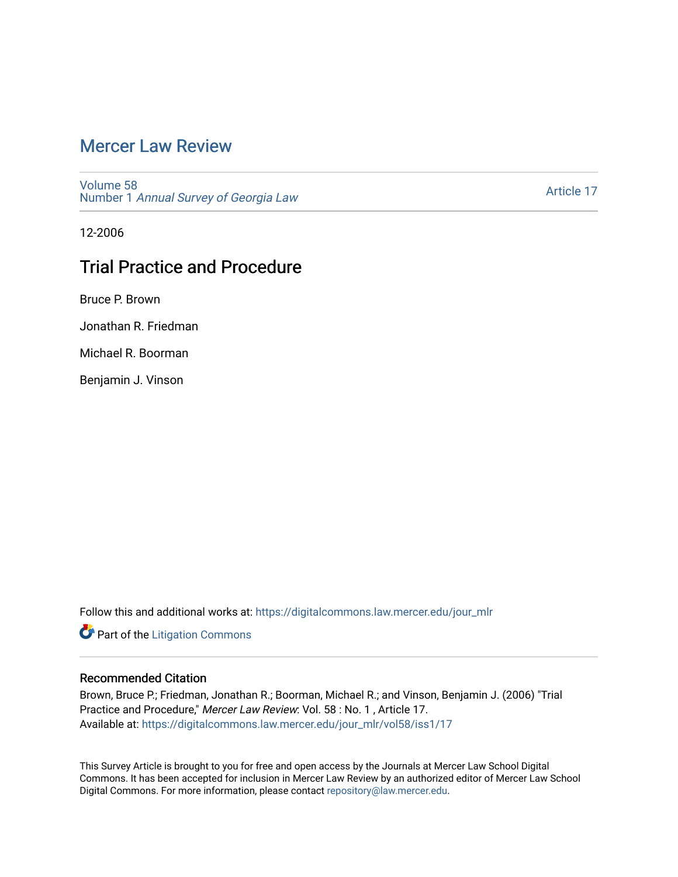# [Mercer Law Review](https://digitalcommons.law.mercer.edu/jour_mlr)

[Volume 58](https://digitalcommons.law.mercer.edu/jour_mlr/vol58) Number 1 [Annual Survey of Georgia Law](https://digitalcommons.law.mercer.edu/jour_mlr/vol58/iss1) 

[Article 17](https://digitalcommons.law.mercer.edu/jour_mlr/vol58/iss1/17) 

12-2006

# Trial Practice and Procedure

Bruce P. Brown

Jonathan R. Friedman

Michael R. Boorman

Benjamin J. Vinson

Follow this and additional works at: [https://digitalcommons.law.mercer.edu/jour\\_mlr](https://digitalcommons.law.mercer.edu/jour_mlr?utm_source=digitalcommons.law.mercer.edu%2Fjour_mlr%2Fvol58%2Fiss1%2F17&utm_medium=PDF&utm_campaign=PDFCoverPages)

**Part of the [Litigation Commons](http://network.bepress.com/hgg/discipline/910?utm_source=digitalcommons.law.mercer.edu%2Fjour_mlr%2Fvol58%2Fiss1%2F17&utm_medium=PDF&utm_campaign=PDFCoverPages)** 

# Recommended Citation

Brown, Bruce P.; Friedman, Jonathan R.; Boorman, Michael R.; and Vinson, Benjamin J. (2006) "Trial Practice and Procedure," Mercer Law Review: Vol. 58 : No. 1 , Article 17. Available at: [https://digitalcommons.law.mercer.edu/jour\\_mlr/vol58/iss1/17](https://digitalcommons.law.mercer.edu/jour_mlr/vol58/iss1/17?utm_source=digitalcommons.law.mercer.edu%2Fjour_mlr%2Fvol58%2Fiss1%2F17&utm_medium=PDF&utm_campaign=PDFCoverPages) 

This Survey Article is brought to you for free and open access by the Journals at Mercer Law School Digital Commons. It has been accepted for inclusion in Mercer Law Review by an authorized editor of Mercer Law School Digital Commons. For more information, please contact [repository@law.mercer.edu](mailto:repository@law.mercer.edu).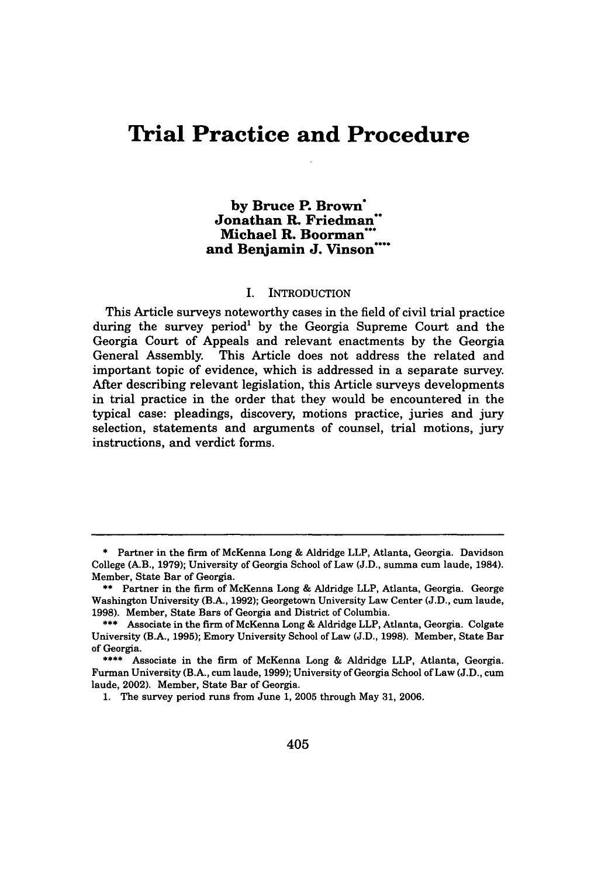# **Trial Practice and Procedure**

# **by Bruce P. Brown\* Jonathan R. Friedman\* Michael R. Boorman\*** and Benjamin J. Vinson<sup>\*\*\*</sup>

#### I. INTRODUCTION

This Article surveys noteworthy cases in the field of civil trial practice during the survey period<sup>1</sup> by the Georgia Supreme Court and the Georgia Court of Appeals and relevant enactments **by** the Georgia General Assembly. This Article does not address the related and important topic of evidence, which is addressed in a separate survey. After describing relevant legislation, this Article surveys developments in trial practice in the order that they would be encountered in the typical case: pleadings, discovery, motions practice, juries and jury selection, statements and arguments of counsel, trial motions, jury instructions, and verdict forms.

**<sup>\*</sup>** Partner in the firm of McKenna Long **&** Aldridge LLP, Atlanta, Georgia. Davidson College (A.B., **1979);** University of Georgia School of Law **(J.D.,** summa cum laude, 1984). Member, State Bar of Georgia.

**<sup>\*\*</sup>** Partner in the firm of McKenna Long **&** Aldridge LLP, Atlanta, Georgia. George Washington University (B.A., **1992);** Georgetown University Law Center **(J.D., cure** laude, **1998).** Member, State Bars of Georgia and District of Columbia.

**<sup>\*\*\*</sup>** Associate in the firm of McKenna Long **&** Aldridge LLP, Atlanta, Georgia. Colgate University (B.A., **1995);** Emory University School of Law **(J.D., 1998).** Member, State Bar of Georgia.

**<sup>\*\*\*\*</sup>** Associate in the firm of McKenna Long & Aldridge LLP, Atlanta, Georgia. Furman University (B.A., cum laude, **1999);** University of Georgia School of Law **(J.D.,** cum laude, 2002). Member, State Bar of Georgia.

**<sup>1.</sup>** The survey period runs from June **1, 2005** through May **31, 2006.**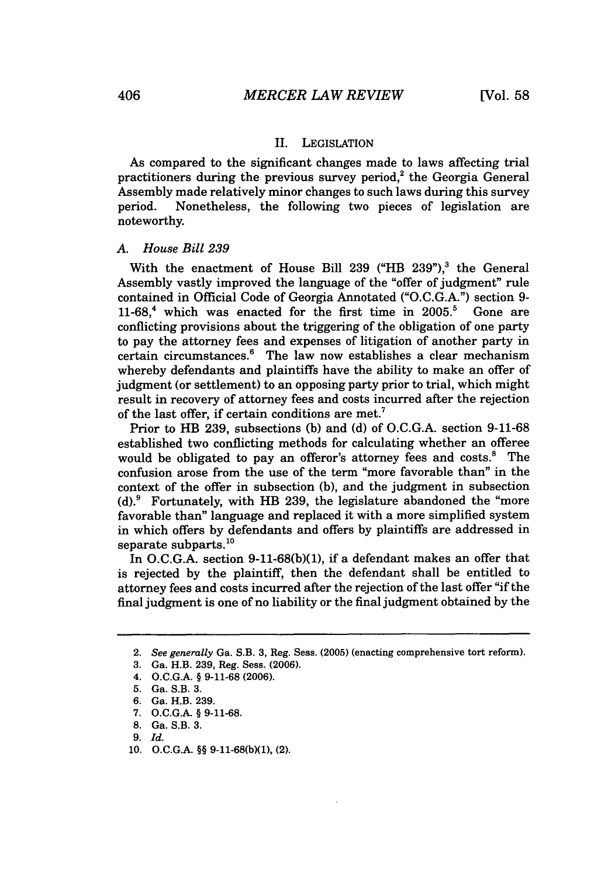## II. LEGISLATION

As compared to the significant changes made to laws affecting trial practitioners during the previous survey period, $2$  the Georgia General Assembly made relatively minor changes to such laws during this survey period. Nonetheless, the following two pieces of legislation are noteworthy.

#### *A. House Bill 239*

With the enactment of House Bill 239 ("HB 239"), $3$  the General Assembly vastly improved the language of the "offer of judgment" rule contained in Official Code of Georgia Annotated ("O.C.G.A.") section 9- 11-68, 4 which was enacted for the first time in **2005.5** Gone are conflicting provisions about the triggering of the obligation of one party to pay the attorney fees and expenses of litigation of another party in certain circumstances.' The law now establishes a clear mechanism whereby defendants and plaintiffs have the ability to make an offer of judgment (or settlement) to an opposing party prior to trial, which might result in recovery of attorney fees and costs incurred after the rejection of the last offer, if certain conditions are met.'

Prior to HB 239, subsections (b) and (d) of O.C.G.A. section 9-11-68 established two conflicting methods for calculating whether an offeree would be obligated to pay an offeror's attorney fees and costs.<sup>8</sup> The confusion arose from the use of the term "more favorable than" in the context of the offer in subsection (b), and the judgment in subsection  $(d)$ .  $9$  Fortunately, with HB 239, the legislature abandoned the "more" favorable than" language and replaced it with a more simplified system in which offers by defendants and offers by plaintiffs are addressed in separate subparts.<sup>10</sup>

In O.C.G.A. section 9-11-68(b)(1), if a defendant makes an offer that is rejected by the plaintiff, then the defendant shall be entitled to attorney fees and costs incurred after the rejection of the last offer "if the final judgment is one of no liability or the final judgment obtained by the

**10.** O.C.G.A. §§ 9-11-68(b)(1), (2).

<sup>2.</sup> *See generally* Ga. S.B. 3, Reg. Sess. (2005) (enacting comprehensive tort reform).

<sup>3.</sup> Ga. H.B. 239, Reg. Sess. (2006).

<sup>4.</sup> O.C.G.A. § 9-11-68 (2006).

<sup>5.</sup> Ga. S.B. 3.

<sup>6.</sup> Ga. H.B. 239.

<sup>7.</sup> O.C.G.A. § 9-11-68.

<sup>8.</sup> Ga. S.B. 3.

**<sup>9.</sup>** *Id.*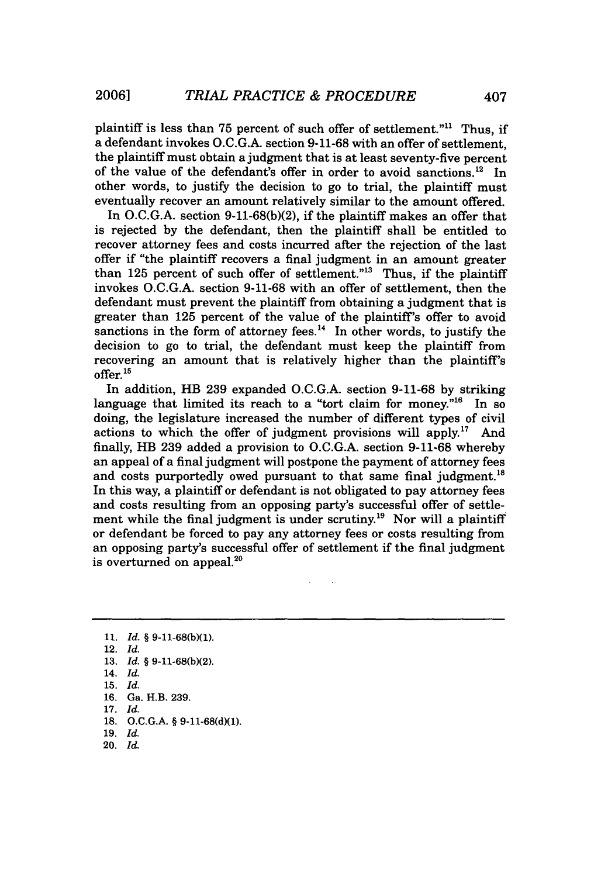plaintiff is less than 75 percent of such offer of settlement."<sup>11</sup> Thus, if a defendant invokes O.C.G.A. section 9-11-68 with an offer of settlement, the plaintiff must obtain a judgment that is at least seventy-five percent of the value of the defendant's offer in order to avoid sanctions.<sup>12</sup> In other words, to justify the decision to go to trial, the plaintiff must eventually recover an amount relatively similar to the amount offered.

In O.C.G.A. section 9-11-68(b)(2), if the plaintiff makes an offer that is rejected by the defendant, then the plaintiff shall be entitled to recover attorney fees and costs incurred after the rejection of the last offer if "the plaintiff recovers a final judgment in an amount greater than 125 percent of such offer of settlement." $13$  Thus, if the plaintiff invokes O.C.G.A. section 9-11-68 with an offer of settlement, then the defendant must prevent the plaintiff from obtaining a judgment that is greater than 125 percent of the value of the plaintiff's offer to avoid sanctions in the form of attorney fees. $<sup>14</sup>$  In other words, to justify the</sup> decision to go to trial, the defendant must keep the plaintiff from recovering an amount that is relatively higher than the plaintiff's offer. **<sup>15</sup>**

In addition, HB **239** expanded **O.C.G.A.** section **9-11-68 by** striking language that limited its reach to a "tort claim for money."<sup>16</sup> In so doing, the legislature increased the number of different types of civil actions to which the offer of judgment provisions will apply." And finally, HB **239** added a provision to **O.C.G.A.** section **9-11-68** whereby an appeal of a final judgment will postpone the payment of attorney fees and costs purportedly owed pursuant to that same final judgment.<sup>18</sup> In this way, a plaintiff or defendant is not obligated to pay attorney fees and costs resulting from an opposing party's successful offer of settlement while the final judgment is under scrutiny.<sup>19</sup> Nor will a plaintiff or defendant be forced to pay any attorney fees or costs resulting from an opposing party's successful offer of settlement if the final judgment is overturned on appeal. $^{20}$ 

- **16. Ga. H.B. 239.**
- **17.** *Id.*
- **18. O.C.G.A.** § **9-11-68(d)(1).**
- **19.** *Id.* **20.** *Id.*

**<sup>11.</sup>** *Id.* § **9-11-68(b)(1).**

**<sup>12.</sup>** *Id.*

**<sup>13.</sup>** *Id.* § **9-11-68(b)(2).**

**<sup>14.</sup>** *Id.*

**<sup>15.</sup>** *Id.*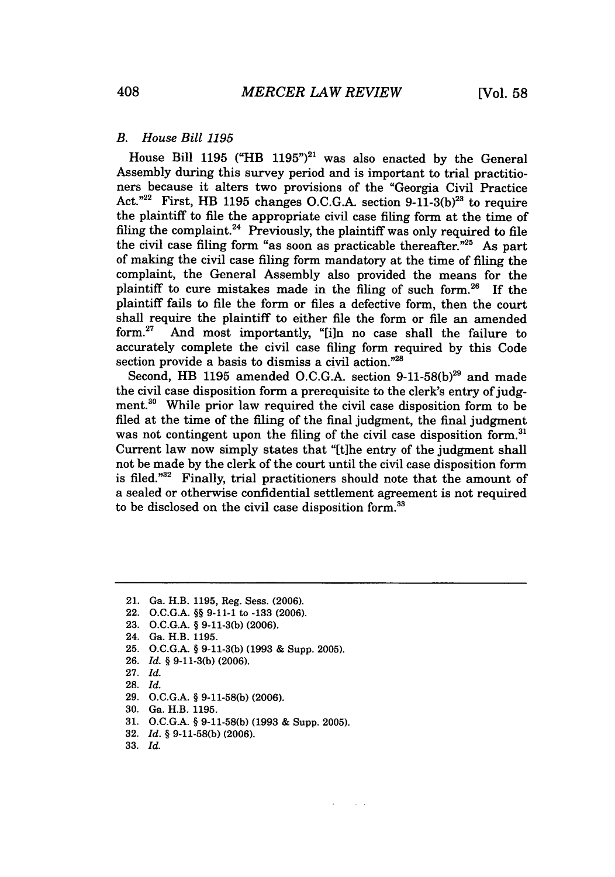## *B. House Bill 1195*

House Bill 1195 ("HB 1195")<sup>21</sup> was also enacted by the General Assembly during this survey period and is important to trial practitioners because it alters two provisions of the "Georgia Civil Practice Act."<sup>22</sup> First, HB 1195 changes O.C.G.A. section  $9-11-3(b)^{23}$  to require the plaintiff to file the appropriate civil case filing form at the time of filing the complaint. $24$  Previously, the plaintiff was only required to file the civil case filing form "as soon as practicable thereafter. $n^{25}$  As part of making the civil case filing form mandatory at the time of filing the complaint, the General Assembly also provided the means for the plaintiff to cure mistakes made in the filing of such form.26 If the plaintiff fails to file the form or files a defective form, then the court shall require the plaintiff to either file the form or file an amended form.<sup>27</sup> And most importantly. "The no case shall the failure to And most importantly, "[i]n no case shall the failure to accurately complete the civil case filing form required by this Code section provide a basis to dismiss a civil action."28

Second, HB 1195 amended O.C.G.A. section 9-11-58(b)<sup>29</sup> and made the civil case disposition form a prerequisite to the clerk's entry of judgment.30 While prior law required the civil case disposition form to be filed at the time of the filing of the final judgment, the final judgment was not contingent upon the filing of the civil case disposition form.<sup>31</sup> Current law now simply states that "[t]he entry of the judgment shall not be made by the clerk of the court until the civil case disposition form is filed."32 Finally, trial practitioners should note that the amount of a sealed or otherwise confidential settlement agreement is not required to be disclosed on the civil case disposition form.<sup>33</sup>

- 22. **O.C.G.A.** *§§* **9-11-1** to **-133 (2006).**
- **23. O.C.G.A.** § **9-11-3(b) (2006).**

- **25. O.C.G.A.** § **9-11-3(b) (1993 &** Supp. **2005).**
- **26.** *Id. §* **9-11-3(b) (2006).**
- **27.** *Id.*
- **28.** *Id.*
- **29. O.C.G.A.** § **9-11-58(b) (2006).**
- **30.** Ga. H.B. **1195.**
- **31. O.C.G.A.** § **9-11-58(b) (1993 &** Supp. **2005).**
- **32.** *Id. §* **9-11-58(b) (2006).**
- **33.** *Id.*

<sup>21.</sup> Ga. H.B. **1195,** Reg. Sess. **(2006).**

<sup>24.</sup> Ga. H.B. **1195.**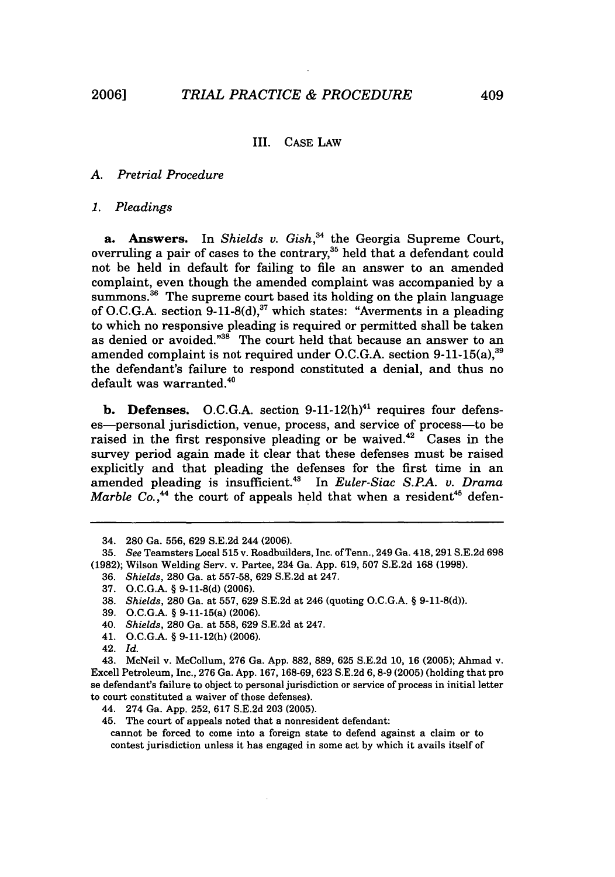### III. **CASE** LAW

# *A. Pretrial Procedure*

#### *1. Pleadings*

a. Answers. In *Shields v. Gish*,<sup>34</sup> the Georgia Supreme Court, overruling a pair of cases to the contrary, $^{\rm 35}$  held that a defendant could not be held in default for failing to file an answer to an amended complaint, even though the amended complaint was accompanied **by** a summons.<sup>36</sup> The supreme court based its holding on the plain language of **O.C.G.A.** section **9-11-8(d)** which states: "Averments in a pleading to which no responsive pleading is required or permitted shall be taken as denied or avoided."<sup>38</sup> The court held that because an answer to an amended complaint is not required under O.C.G.A. section 9-11-15(a),<sup>39</sup> the defendant's failure to respond constituted a denial, and thus no default was warranted.<sup>40</sup>

**b. Defenses.** O.C.G.A. section  $9-11-12(h)^{41}$  requires four defenses-personal jurisdiction, venue, process, and service of process-to be raised in the first responsive pleading or be waived. $42$  Cases in the survey period again made it clear that these defenses must be raised explicitly and that pleading the defenses for the first time in an amended pleading is insufficient.43 In *Euler-Siac S.RA. v. Drama Marble Co.*,<sup>44</sup> the court of appeals held that when a resident<sup>45</sup> defen-

- **38.** *Shields,* **280** Ga. at **557, 629 S.E.2d** at 246 (quoting **O.C.G.A. § 9-11-8(d)).**
- **39. O.C.G.A. §** 9-11-15(a) **(2006).**
- 40. *Shields,* **280** Ga. at **558, 629 S.E.2d** at 247.
- 41. **O.C.G.A. § 9-11-12(h) (2006).**

- 44. 274 Ga. **App. 252, 617 S.E.2d 203 (2005).**
- 45. The court of appeals noted that a nonresident defendant:

cannot be forced to come into a foreign state to defend against a claim or to contest jurisdiction unless it has engaged in some act **by** which it avails itself of

<sup>34.</sup> **280** Ga. **556, 629 S.E.2d** 244 **(2006).**

**<sup>35.</sup>** *See* Teamsters Local **515** v. Roadbuilders, Inc. of Tenn., 249 Ga. 418, **291 S.E.2d 698 (1982);** Wilson Welding Serv. v. Partee, 234 Ga. **App. 619, 507 S.E.2d 168 (1998).**

**<sup>36.</sup>** *Shields,* **280** Ga. at **557-58, 629 S.E.2d** at 247.

**<sup>37.</sup> O.C.G.A. § 9-11-8(d) (2006).**

<sup>42.</sup> *Id.*

<sup>43.</sup> McNeil v. McCollum, **276** Ga. **App. 882, 889, 625 S.E.2d 10, 16 (2005);** Ahmad v. Excell Petroleum, Inc., **276** Ga. **App. 167, 168-69, 623 S.E.2d 6,8-9 (2005)** (holding that pro se defendant's failure to object to personal jurisdiction or service of process in initial letter to court constituted a waiver of those defenses).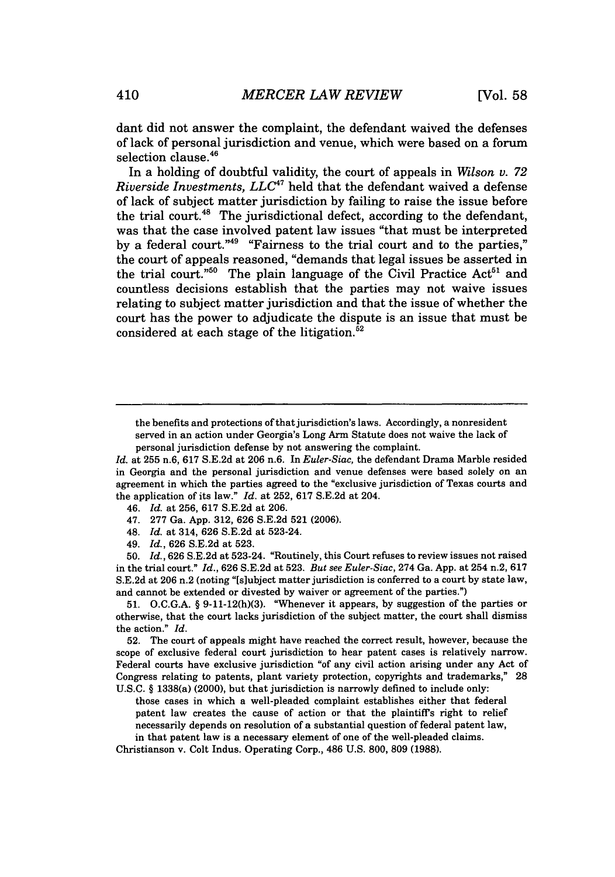dant did not answer the complaint, the defendant waived the defenses of lack of personal jurisdiction and venue, which were based on a forum selection clause.<sup>46</sup>

In a holding of doubtful validity, the court of appeals in *Wilson v. 72 Riverside Investments, LLC47* held that the defendant waived a defense of lack of subject matter jurisdiction by failing to raise the issue before the trial court.<sup>48</sup> The jurisdictional defect, according to the defendant was that the case involved patent law issues "that must be interpreted by a federal court."49 "Fairness to the trial court and to the parties," the court of appeals reasoned, "demands that legal issues be asserted in the trial court."<sup>50</sup> The plain language of the Civil Practice  $\text{Act}^{51}$  and countless decisions establish that the parties may not waive issues relating to subject matter jurisdiction and that the issue of whether the court has the power to adjudicate the dispute is an issue that must be considered at each stage of the litigation. $52$ 

- 46. *Id.* at 256, 617 S.E.2d at 206.
- 47. 277 Ga. App. 312, 626 S.E.2d 521 (2006).
- 48. *Id.* at 314, 626 S.E.2d at 523-24.
- 49. *Id.,* 626 S.E.2d at 523.

50. *Id.,* 626 S.E.2d at 523-24. "Routinely, this Court refuses to review issues not raised in the trial court." *Id.,* 626 S.E.2d at 523. *But see Euler-Siac,* 274 Ga. App. at 254 n.2, 617 S.E.2d at 206 n.2 (noting "[s]ubject matter jurisdiction is conferred to a court by state law, and cannot be extended or divested by waiver or agreement of the parties.")

51. O.C.G.A. § 9-11-12(h)(3). "Whenever it appears, by suggestion of the parties or otherwise, that the court lacks jurisdiction of the subject matter, the court shall dismiss the action." *Id.*

52. The court of appeals might have reached the correct result, however, because the scope of exclusive federal court jurisdiction to hear patent cases is relatively narrow. Federal courts have exclusive jurisdiction "of any civil action arising under any Act of Congress relating to patents, plant variety protection, copyrights and trademarks," 28 U.S.C. § 1338(a) (2000), but that jurisdiction is narrowly defined to include only:

those cases in which a well-pleaded complaint establishes either that federal patent law creates the cause of action or that the plaintiffs right to relief necessarily depends on resolution of a substantial question of federal patent law, in that patent law is a necessary element of one of the well-pleaded claims.

Christianson v. Colt Indus. Operating Corp., 486 U.S. 800, 809 (1988).

the benefits and protections of that jurisdiction's laws. Accordingly, a nonresident served in an action under Georgia's Long Arm Statute does not waive the lack of personal jurisdiction defense by not answering the complaint.

*Id.* at 255 n.6, 617 S.E.2d at 206 n.6. In *Euler-Siac,* the defendant Drama Marble resided in Georgia and the personal jurisdiction and venue defenses were based solely on an agreement in which the parties agreed to the "exclusive jurisdiction of Texas courts and the application of its law." *Id.* at 252, 617 S.E.2d at 204.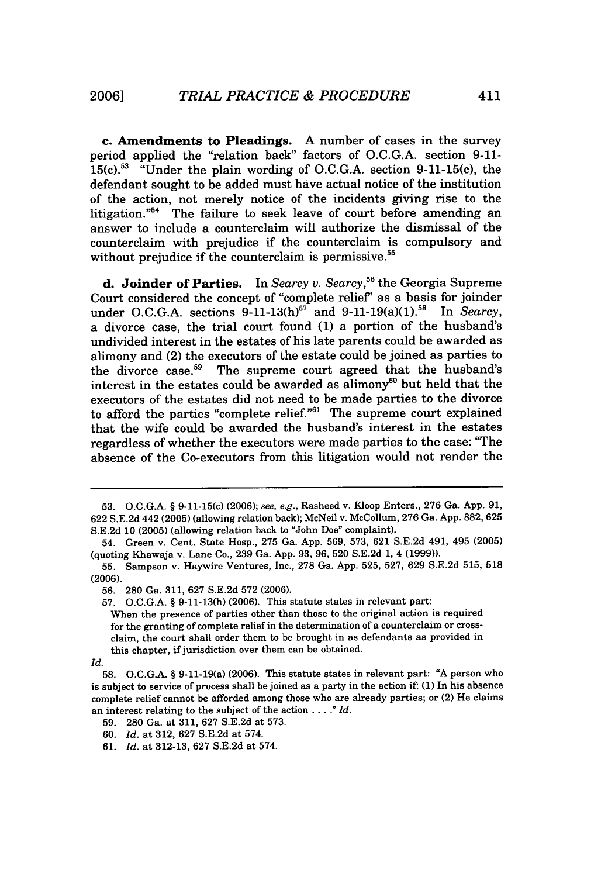**c. Amendments to Pleadings. A** number of cases in the survey period applied the "relation back" factors of **O.C.G.A.** section **9-11- 15(c). <sup>53</sup>**"Under the plain wording of **O.C.G.A.** section 9-11-15(c), the defendant sought to be added must have actual notice of the institution of the action, not merely notice of the incidents giving rise to the litigation."<sup>54</sup> The failure to seek leave of court before amending an answer to include a counterclaim will authorize the dismissal of the counterclaim with prejudice if the counterclaim is compulsory and without prejudice if the counterclaim is permissive.<sup>55</sup>

**d. Joinder of Parties.** In *Searcy v. Searcy,"6* the Georgia Supreme Court considered the concept of "complete relief' as a basis for joinder under O.C.G.A. sections  $9-11-13(h)^{57}$  and  $9-11-19(a)(1)^{58}$  In *Searcy*, a divorce case, the trial court found **(1)** a portion of the husband's undivided interest in the estates of his late parents could be awarded as alimony and (2) the executors of the estate could be joined as parties to the divorce case.<sup>59</sup> The supreme court agreed that the husband's The supreme court agreed that the husband's interest in the estates could be awarded as alimony<sup>60</sup> but held that the executors of the estates did not need to be made parties to the divorce to afford the parties "complete relief." $61$  The supreme court explained that the wife could be awarded the husband's interest in the estates regardless of whether the executors were made parties to the case: "The absence of the Co-executors from this litigation would not render the

**<sup>53.</sup> O.C.G.A. §** 9-11-15(c) **(2006);** see, e.g., Rasheed v. **Kloop** Enters., **276** Ga. **App. 91, 622 S.E.2d** 442 **(2005)** (allowing relation back); McNeil v. McCollum, **276** Ga. **App. 882, 625 S.E.2d 10 (2005)** (allowing relation back to "John Doe" complaint).

<sup>54.</sup> Green v. Cent. State Hosp., **275** Ga. **App. 569, 573, 621 S.E.2d** 491, 495 **(2005)** (quoting Khawaja v. Lane Co., **239** Ga. **App. 93, 96, 520 S.E.2d 1,** 4 **(1999)).**

**<sup>55.</sup>** Sampson v. Haywire Ventures, Inc., **278** Ga. **App. 525, 527, 629 S.E.2d 515, 518 (2006).**

**<sup>56. 280</sup>** Ga. **311, 627 S.E.2d 572 (2006).**

**<sup>57.</sup> O.C.G.A. § 9-11-13(h) (2006).** This statute states in relevant part:

When the presence of parties other than those to the original action is required for the granting of complete relief in the determination of a counterclaim or crossclaim, the court shall order them to be brought in as defendants as provided in this chapter, if jurisdiction over them can be obtained.

*Id.*

**<sup>58.</sup> O.C.G.A.** § 9-11-19(a) **(2006).** This statute states in relevant part: **"A** person who is subject to service of process shall be joined as a party in the action if: **(1)** In his absence complete relief cannot be afforded among those who are already parties; or (2) He claims an interest relating to the subject of the action ... **."** *Id.*

**<sup>59. 280</sup>** Ga. at 311, **627 S.E.2d** at **573.**

**<sup>60.</sup>** *Id.* at **312, 627 S.E.2d** at 574.

**<sup>61.</sup>** *Id.* at **312-13, 627 S.E.2d** at 574.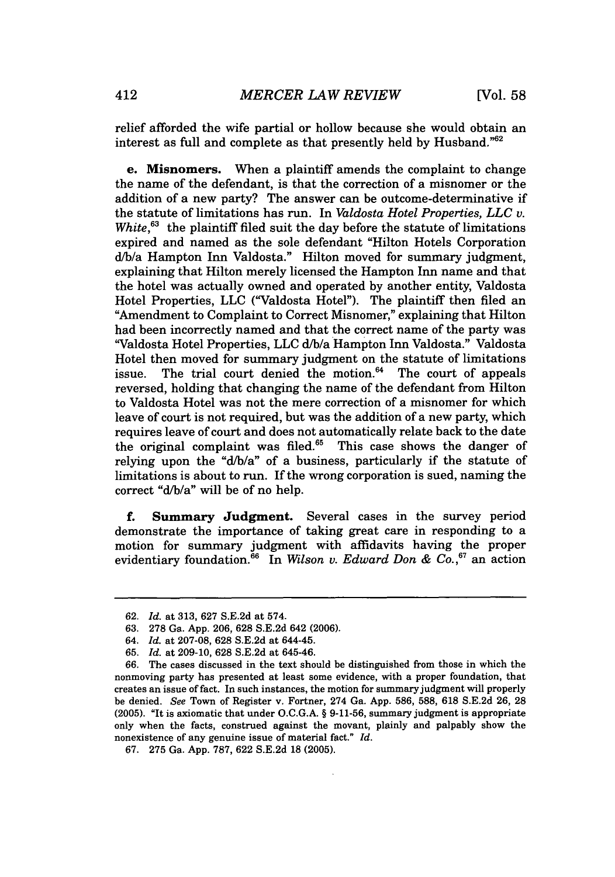relief afforded the wife partial or hollow because she would obtain an interest as full and complete as that presently held by Husband." $62$ 

**e. Misnomers.** When a plaintiff amends the complaint to change the name of the defendant, is that the correction of a misnomer or the addition of a new party? The answer can be outcome-determinative if the statute of limitations has run. In *Valdosta Hotel Properties, LLC v. White*,<sup>63</sup> the plaintiff filed suit the day before the statute of limitations expired and named as the sole defendant "Hilton Hotels Corporation d/b/a Hampton Inn Valdosta." Hilton moved for summary judgment, explaining that Hilton merely licensed the Hampton Inn name and that the hotel was actually owned and operated by another entity, Valdosta Hotel Properties, LLC ("Valdosta Hotel"). The plaintiff then filed an "Amendment to Complaint to Correct Misnomer," explaining that Hilton had been incorrectly named and that the correct name of the party was "Valdosta Hotel Properties, LLC d/b/a Hampton Inn Valdosta." Valdosta Hotel then moved for summary judgment on the statute of limitations issue. The trial court denied the motion.<sup>64</sup> The court of appeals reversed, holding that changing the name of the defendant from Hilton to Valdosta Hotel was not the mere correction of a misnomer for which leave of court is not required, but was the addition of a new party, which requires leave of court and does not automatically relate back to the date the original complaint was filed. $65$  This case shows the danger of relying upon the "d/b/a" of a business, particularly if the statute of limitations is about to run. If the wrong corporation is sued, naming the correct "d/b/a" will be of no help.

f. Summary **Judgment.** Several cases in the survey period demonstrate the importance of taking great care in responding to a motion for summary judgment with affidavits having the proper evidentiary foundation.<sup>66</sup> In *Wilson v. Edward Don & Co.*,<sup>67</sup> an action

<sup>62.</sup> *Id.* at 313, 627 S.E.2d at 574.

<sup>63. 278</sup> Ga. App. 206, 628 S.E.2d 642 (2006).

<sup>64.</sup> *Id.* at 207-08, 628 S.E.2d at 644-45.

<sup>65.</sup> *Id.* at 209-10, 628 S.E.2d at 645-46.

<sup>66.</sup> The cases discussed in the text should be distinguished from those in which the nonmoving party has presented at least some evidence, with a proper foundation, that creates an issue of fact. In such instances, the motion for summary judgment will properly be denied. See Town of Register v. Fortner, 274 Ga. App. 586, 588, 618 S.E.2d 26, 28 (2005). "It is axiomatic that under O.C.G.A. § 9-11-56, summary judgment is appropriate only when the facts, construed against the movant, plainly and palpably show the nonexistence of any genuine issue of material fact." *Id.*

<sup>67. 275</sup> Ga. App. 787, 622 S.E.2d 18 (2005).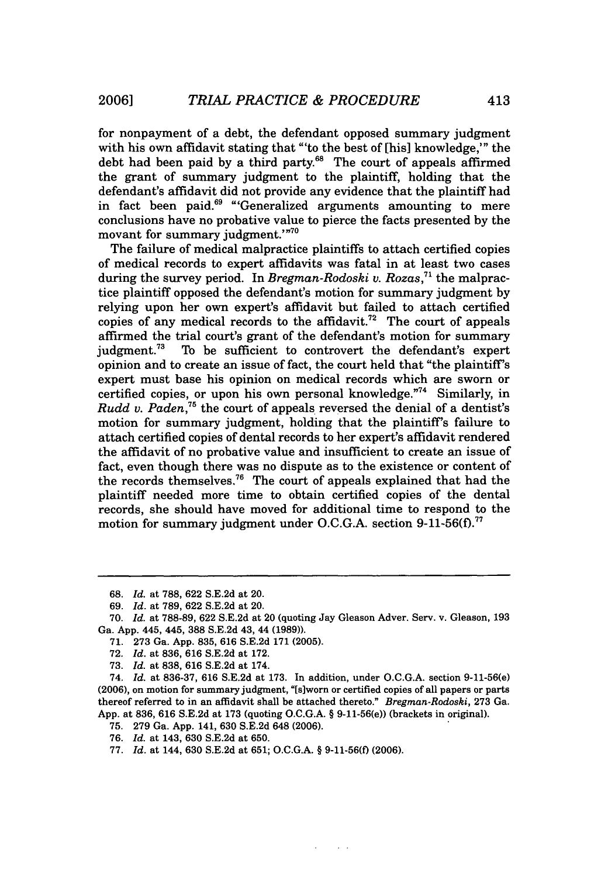for nonpayment of a debt, the defendant opposed summary judgment with his own affidavit stating that "'to the best of [his] knowledge,"' the debt had been paid by a third party.<sup>68</sup> The court of appeals affirmed the grant of summary judgment to the plaintiff, holding that the defendant's affidavit did not provide any evidence that the plaintiff had in fact been paid.<sup>69</sup> "Generalized arguments amounting to mere conclusions have no probative value to pierce the facts presented by the movant for summary judgment.'"<sup>70</sup>

The failure of medical malpractice plaintiffs to attach certified copies of medical records to expert affidavits was fatal in at least two cases during the survey period. In *Bregman-Rodoski v. Rozas*<sup>71</sup> the malpractice plaintiff opposed the defendant's motion for summary judgment by relying upon her own expert's affidavit but failed to attach certified copies of any medical records to the affidavit.<sup>72</sup> The court of appeals affirmed the trial court's grant of the defendant's motion for summary judgment.<sup>73</sup> To be sufficient to controvert the defendant's expert To be sufficient to controvert the defendant's expert opinion and to create an issue of fact, the court held that "the plaintiff's expert must base his opinion on medical records which are sworn or certified copies, or upon his own personal knowledge."74 Similarly, in *Rudd v. Paden,76* the court of appeals reversed the denial of a dentist's motion for summary judgment, holding that the plaintiff's failure to attach certified copies of dental records to her expert's affidavit rendered the affidavit of no probative value and insufficient to create an issue of fact, even though there was no dispute as to the existence or content of the records themselves.76 The court of appeals explained that had the plaintiff needed more time to obtain certified copies of the dental records, she should have moved for additional time to respond to the motion for summary judgment under O.C.G.A. section 9-11-56(f).<sup>77</sup>

<sup>68.</sup> *Id.* at 788, 622 S.E.2d at 20.

<sup>69.</sup> *Id.* at 789, 622 S.E.2d at 20.

<sup>70.</sup> *Id.* at 788-89, 622 S.E.2d at 20 (quoting Jay Gleason Adver. Serv. v. Gleason, 193 Ga. App. 445, 445, 388 S.E.2d 43, 44 (1989)).

<sup>71. 273</sup> Ga. App. 835, 616 S.E.2d 171 (2005).

<sup>72.</sup> *Id.* at 836, 616 S.E.2d at 172.

<sup>73.</sup> *Id.* at 838, 616 S.E.2d at 174.

<sup>74.</sup> *Id.* at 836-37, 616 S.E.2d at 173. In addition, under O.C.G.A. section 9-11-56(e) (2006), on motion for summary judgment, "[siworn or certified copies of all papers or parts thereof referred to in an affidavit shall be attached thereto." *Bregman-Rodoski,* 273 Ga. App. at 836, 616 S.E.2d at 173 (quoting O.C.G.A. § 9-11-56(e)) (brackets in original).

<sup>75. 279</sup> Ga. App. 141, 630 S.E.2d 648 (2006).

<sup>76.</sup> *Id.* at 143, 630 S.E.2d at 650.

<sup>77.</sup> *Id.* at 144, 630 S.E.2d at 651; O.C.G.A. § 9-11-56(f) (2006).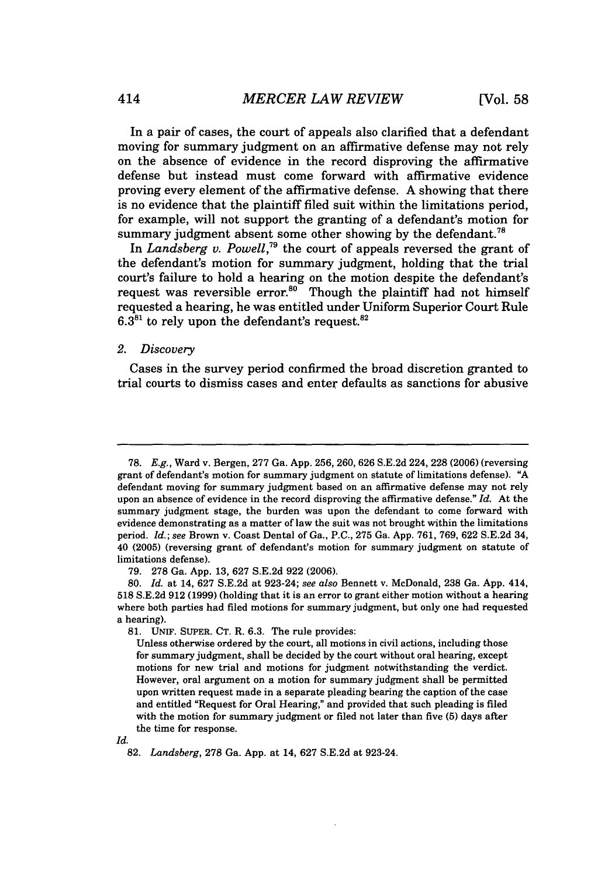In a pair of cases, the court of appeals also clarified that a defendant moving for summary judgment on an affirmative defense may not rely on the absence of evidence in the record disproving the affirmative defense but instead must come forward with affirmative evidence proving every element of the affirmative defense. A showing that there is no evidence that the plaintiff filed suit within the limitations period, for example, will not support the granting of a defendant's motion for summary judgment absent some other showing by the defendant.<sup>78</sup>

In *Landsberg v. Powell,79* the court of appeals reversed the grant of the defendant's motion for summary judgment, holding that the trial court's failure to hold a hearing on the motion despite the defendant's request was reversible error.<sup>80</sup> Though the plaintiff had not himself requested a hearing, he was entitled under Uniform Superior Court Rule  $6.3<sup>81</sup>$  to rely upon the defendant's request.<sup>82</sup>

#### *2. Discovery*

Cases in the survey period confirmed the broad discretion granted to trial courts to dismiss cases and enter defaults as sanctions for abusive

*Id.*

<sup>78.</sup> *E.g.,* Ward v. Bergen, 277 Ga. App. 256, 260, 626 S.E.2d 224, 228 (2006) (reversing grant of defendant's motion for summary judgment on statute of limitations defense). **"A** defendant moving for summary judgment based on an affirmative defense may not rely upon an absence of evidence in the record disproving the affirmative defense." *Id.* At the summary judgment stage, the burden was upon the defendant to come forward with evidence demonstrating as a matter of law the suit was not brought within the limitations period. *Id.; see* Brown v. Coast Dental of Ga., P.C., 275 Ga. App. 761, 769, 622 S.E.2d 34, 40 (2005) (reversing grant of defendant's motion for summary judgment on statute of limitations defense).

<sup>79. 278</sup> Ga. App. 13, 627 S.E.2d 922 (2006).

<sup>80.</sup> *Id.* at 14, 627 S.E.2d at 923-24; *see also* Bennett v. McDonald, 238 Ga. App. 414, **518 S.E.2d 912 (1999)** (holding that it is an error to grant either motion without a hearing where both parties had filed motions for summary judgment, but only one had requested a hearing).

**<sup>81.</sup>** UNIF. **SUPER. CT.** R. **6.3.** The rule provides:

Unless otherwise ordered **by** the court, all motions in civil actions, including those for summary judgment, shall be decided **by** the court without oral hearing, except motions for new trial and motions for judgment notwithstanding the verdict. However, oral argument on a motion for summary judgment shall be permitted upon written request made in a separate pleading bearing the caption of the case and entitled "Request for Oral Hearing," and provided that such pleading is filed with the motion for summary judgment or filed not later than five **(5)** days after the time for response.

**<sup>82.</sup>** *Landsberg,* **278** Ga. **App.** at 14, **627 S.E.2d** at 923-24.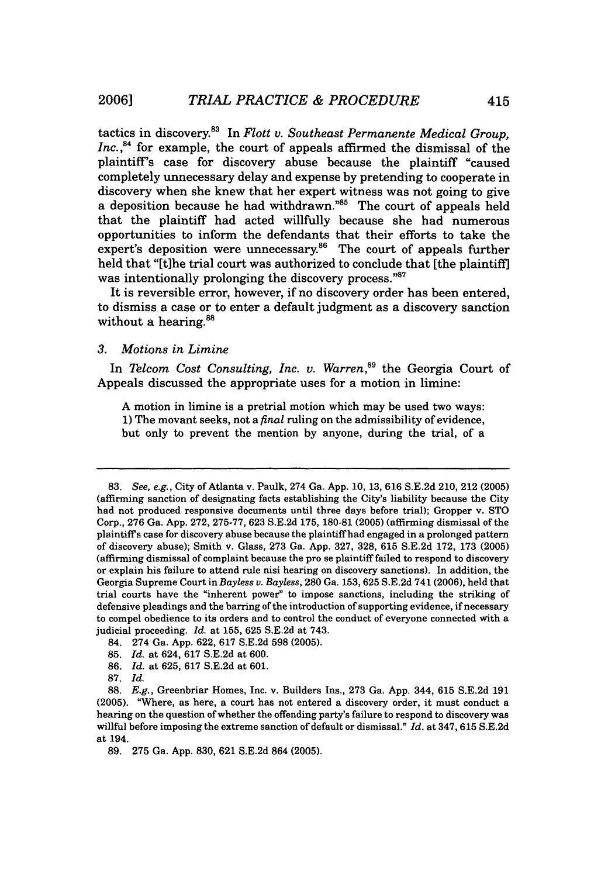tactics in discovery.8 In *Flott v. Southeast Permanente Medical Group,* Inc.,<sup>84</sup> for example, the court of appeals affirmed the dismissal of the plaintiff's case for discovery abuse because the plaintiff "caused completely unnecessary delay and expense by pretending to cooperate in discovery when she knew that her expert witness was not going to give a deposition because he had withdrawn."<sup>85</sup> The court of appeals held that the plaintiff had acted willfully because she had numerous opportunities to inform the defendants that their efforts to take the expert's deposition were unnecessary.<sup>86</sup> The court of appeals further held that "[t]he trial court was authorized to conclude that [the plaintiff] was intentionally prolonging the discovery process."<sup>87</sup>

It is reversible error, however, if no discovery order has been entered, to dismiss a case or to enter a default judgment as a discovery sanction without a hearing.<sup>88</sup>

## *3. Motions in Limine*

In *Telcom Cost Consulting, Inc. v. Warren*,<sup>89</sup> the Georgia Court of Appeals discussed the appropriate uses for a motion in limine:

A motion in limine is a pretrial motion which may be used two ways: 1) The movant seeks, not a *final* ruling on the admissibility of evidence, but only to prevent the mention by anyone, during the trial, of a

- 84. 274 Ga. App. 622, 617 S.E.2d 598 (2005).
- 85. *Id.* at 624, 617 S.E.2d at 600.
- 86. *Id.* at 625, 617 S.E.2d at 601.
- **87.** *Id.*

<sup>83.</sup> *See, e.g.,* City of Atlanta v. Paulk, 274 Ga. App. 10, 13, 616 S.E.2d 210, 212 (2005) (affirming sanction of designating facts establishing the City's liability because the City had not produced responsive documents until three days before trial); Gropper v. STO Corp., 276 Ga. App. 272, 275-77, 623 S.E.2d 175, 180-81 (2005) (affirming dismissal of the plaintiff s case for discovery abuse because the plaintiff had engaged in a prolonged pattern of discovery abuse); Smith v. Glass, 273 Ga. App. 327, 328, 615 S.E.2d 172, 173 (2005) (affirming dismissal of complaint because the pro se plaintiff failed to respond to discovery or explain his failure to attend rule nisi hearing on discovery sanctions). In addition, the Georgia Supreme Court in *Bayless v. Bayless,* 280 Ga. 153, 625 S.E.2d 741 (2006), held that trial courts have the "inherent power" to impose sanctions, including the striking of defensive pleadings and the barring of the introduction of supporting evidence, if necessary to compel obedience to its orders and to control the conduct of everyone connected with a judicial proceeding. *Id.* at 155, 625 S.E.2d at 743.

**<sup>88.</sup>** *E.g.,* Greenbriar Homes, Inc. v. Builders Ins., **273** Ga. **App.** 344, **615 S.E.2d 191 (2005).** "Where, as here, a court has not entered a discovery order, it must conduct a hearing on the question of whether the offending party's failure to respond to discovery was willful before imposing the extreme sanction of default or dismissal." *Id.* at 347, **615 S.E.2d** at 194.

**<sup>89. 275</sup>** Ga. **App. 830, 621 S.E.2d** 864 **(2005).**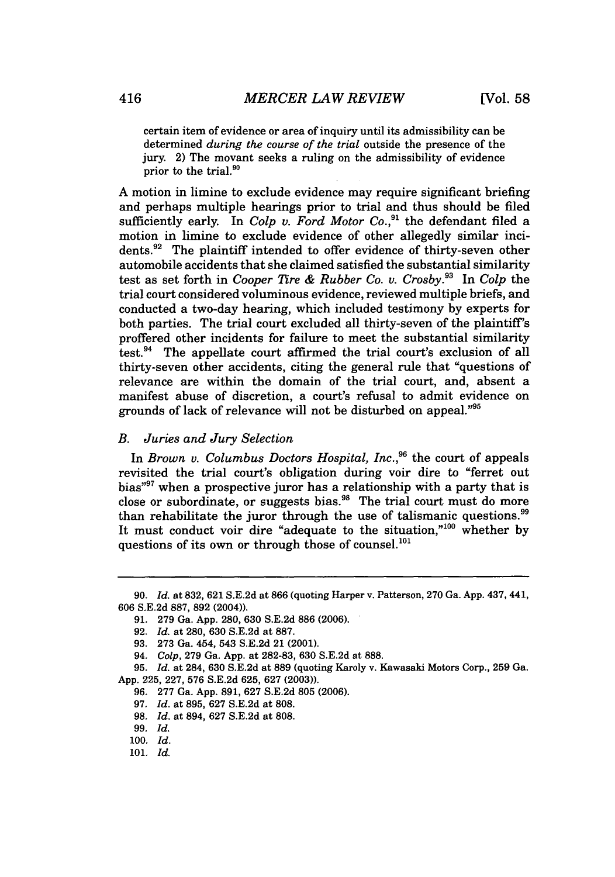certain item of evidence or area of inquiry until its admissibility can be determined *during the course of the trial* outside the presence of the jury. 2) The movant seeks a ruling on the admissibility of evidence prior to the trial.<sup>90</sup>

**A** motion in limine to exclude evidence may require significant briefing and perhaps multiple hearings prior to trial and thus should be filed sufficiently early. In *Colp v. Ford Motor Co.*,<sup>91</sup> the defendant filed a motion in limine to exclude evidence of other allegedly similar incidents.<sup>92</sup> The plaintiff intended to offer evidence of thirty-seven other automobile accidents that she claimed satisfied the substantial similarity test as set forth in *Cooper Tire & Rubber Co. v. Crosby.93* In *Colp* the trial court considered voluminous evidence, reviewed multiple briefs, and conducted a two-day hearing, which included testimony **by** experts for both parties. The trial court excluded all thirty-seven of the plaintiff's proffered other incidents for failure to meet the substantial similarity test.94 The appellate court affirmed the trial court's exclusion of all thirty-seven other accidents, citing the general rule that "questions of relevance are within the domain of the trial court, and, absent a manifest abuse of discretion, a court's refusal to admit evidence on grounds of lack of relevance will not be disturbed on appeal."95

## *B. Juries and Jury Selection*

In *Brown v. Columbus Doctors Hospital, Inc.*<sup>96</sup> the court of appeals revisited the trial court's obligation during voir dire to "ferret out bias"<sup>97</sup> when a prospective juror has a relationship with a party that is close or subordinate, or suggests bias.<sup>98</sup> The trial court must do more than rehabilitate the juror through the use of talismanic questions.<sup>99</sup> It must conduct voir dire "adequate to the situation."<sup>100</sup> whether by questions of its own or through those of counsel.<sup>101</sup>

**<sup>90.</sup>** *Id.* at **832, 621 S.E.2d** at **866** (quoting Harper v. Patterson, **270** Ga. **App.** 437, 441, **606 S.E.2d 887, 892** (2004)).

**<sup>91. 279</sup>** Ga. **App. 280, 630 S.E.2d 886 (2006).**

**<sup>92.</sup>** *Id.* at **280, 630 S.E.2d** at **887.**

**<sup>93. 273</sup>** Ga. 454, 543 **S.E.2d** 21 (2001).

*<sup>94.</sup> Colp,* **279** Ga. **App.** at **282-83, 630 S.E.2d** at **888.**

**<sup>95.</sup>** *Id.* at 284, **630 S.E.2d** at **889** (quoting Karoly v. Kawasaki Motors Corp., **259** Ga. **App. 225, 227, 576 S.E.2d 625, 627 (2003)).**

**<sup>96. 277</sup>** Ga. **App. 891, 627 S.E.2d 805 (2006).**

*<sup>97.</sup> Id.* at **895, 627 S.E.2d** at **808.**

*<sup>98.</sup> Id.* at 894, **627 S.E.2d** at **808.**

**<sup>99.</sup>** *Id.*

**<sup>100.</sup>** *Id.*

**<sup>101.</sup>** *Id.*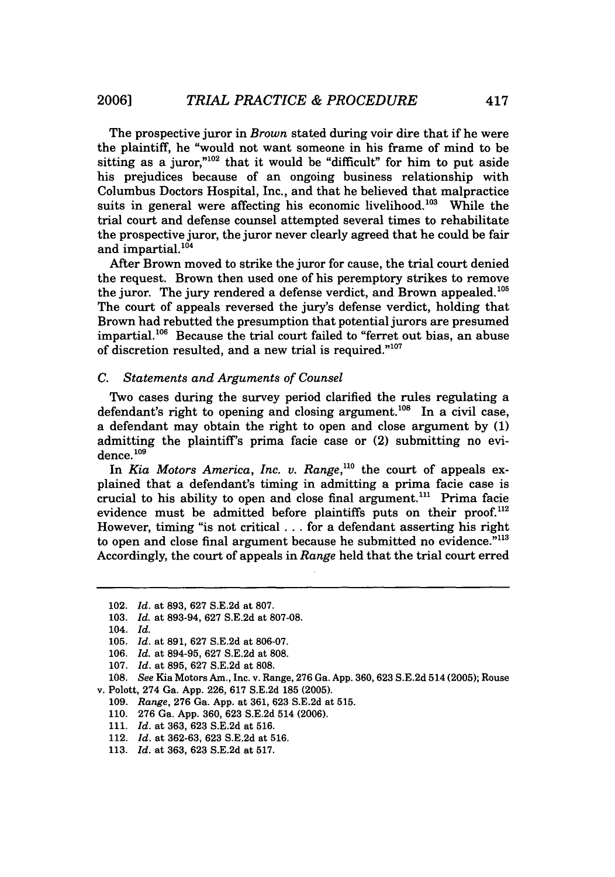The prospective juror in *Brown* stated during voir dire that if he were the plaintiff, he "would not want someone in his frame of mind to be sitting as a juror," $102$  that it would be "difficult" for him to put aside his prejudices because of an ongoing business relationship with Columbus Doctors Hospital, Inc., and that he believed that malpractice suits in general were affecting his economic livelihood.<sup>103</sup> While the trial court and defense counsel attempted several times to rehabilitate the prospective juror, the juror never clearly agreed that he could be fair and impartial.<sup>104</sup>

After Brown moved to strike the juror for cause, the trial court denied the request. Brown then used one of his peremptory strikes to remove the juror. The jury rendered a defense verdict, and Brown appealed.<sup>105</sup> The court of appeals reversed the jury's defense verdict, holding that Brown had rebutted the presumption that potential jurors are presumed impartial.<sup>106</sup> Because the trial court failed to "ferret out bias, an abuse of discretion resulted, and a new trial is required."<sup>107</sup>

### *C. Statements and Arguments of Counsel*

Two cases during the survey period clarified the rules regulating a defendant's right to opening and closing argument.<sup>108</sup> In a civil case, a defendant may obtain the right to open and close argument by (1) admitting the plaintiff's prima facie case or (2) submitting no evi $d$ ence. $109$ 

In *Kia Motors America, Inc. v. Range*,<sup>110</sup> the court of appeals explained that a defendant's timing in admitting a prima facie case is crucial to his ability to open and close final argument.<sup>111</sup> Prima facie evidence must be admitted before plaintiffs puts on their proof. $^{112}$ However, timing "is not critical... for a defendant asserting his right to open and close final argument because he submitted no evidence."<sup>113</sup> Accordingly, the court of appeals in *Range* held that the trial court erred

**20061**

110. 276 Ga. App. 360, 623 S.E.2d 514 (2006).

<sup>102.</sup> *Id.* at 893, 627 S.E.2d at 807.

<sup>103.</sup> *Id.* at 893-94, 627 S.E.2d at 807-08.

<sup>104.</sup> *Id.*

<sup>105.</sup> *Id.* at 891, 627 S.E.2d at 806-07.

<sup>106.</sup> *Id.* at 894-95, 627 S.E.2d at 808.

<sup>107.</sup> *Id.* at 895, 627 S.E.2d at 808.

<sup>108.</sup> *See* Kia Motors Am., Inc. v. Range, 276 Ga. App. 360,623 S.E.2d 514 (2005); Rouse v. Polott, 274 Ga. App. 226, 617 S.E.2d 185 (2005).

<sup>109.</sup> *Range,* 276 Ga. App. at 361, 623 S.E.2d at 515.

<sup>111.</sup> *Id.* at 363, 623 S.E.2d at 516.

<sup>112.</sup> *Id.* at 362-63, 623 S.E.2d at 516.

<sup>113.</sup> *Id.* at 363, 623 S.E.2d at 517.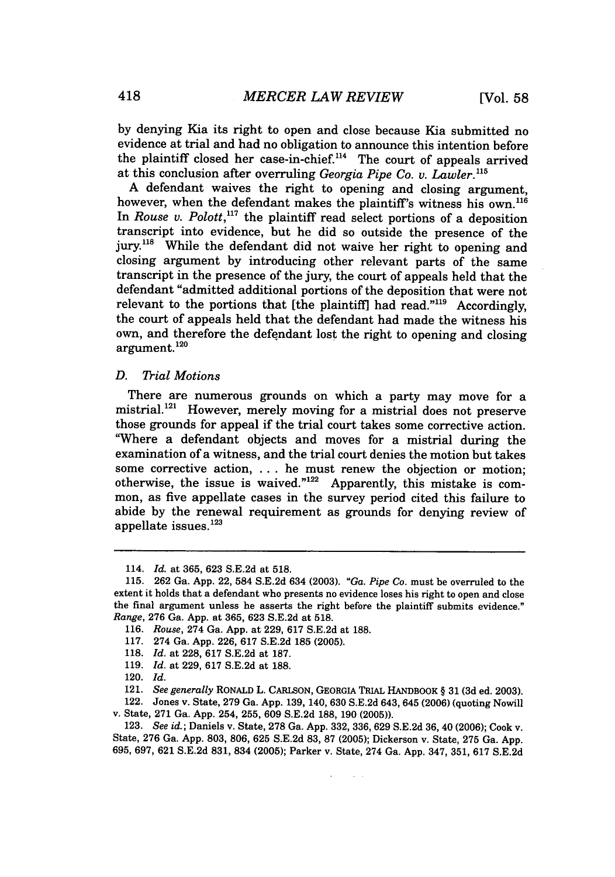by denying Kia its right to open and close because Kia submitted no evidence at trial and had no obligation to announce this intention before the plaintiff closed her case-in-chief.'14 The court of appeals arrived at this conclusion after overruling *Georgia Pipe Co. v. Lawler."5*

A defendant waives the right to opening and closing argument, however, when the defendant makes the plaintiff's witness his own.<sup>116</sup> In *Rouse v. Polott*,<sup>117</sup> the plaintiff read select portions of a deposition transcript into evidence, but he did so outside the presence of the jury.<sup>118</sup> While the defendant did not waive her right to opening and closing argument by introducing other relevant parts of the same transcript in the presence of the jury, the court of appeals held that the defendant "admitted additional portions of the deposition that were not relevant to the portions that [the plaintiff] had read."<sup>119</sup> Accordingly, the court of appeals held that the defendant had made the witness his own, and therefore the defendant lost the right to opening and closing argument. **120**

## *D. Trial Motions*

There are numerous grounds on which a party may move for a mistrial.<sup>121</sup> However, merely moving for a mistrial does not preserve those grounds for appeal if the trial court takes some corrective action. "Where a defendant objects and moves for a mistrial during the examination of a witness, and the trial court denies the motion but takes some corrective action, ... he must renew the objection or motion; otherwise, the issue is waived." $122$  Apparently, this mistake is common, as five appellate cases in the survey period cited this failure to abide by the renewal requirement as grounds for denying review of appellate issues.<sup>123</sup>

 $\Delta \sim 10$ 

<sup>114.</sup> *Id.* at 365, 623 S.E.2d at 518.

<sup>115. 262</sup> Ga. App. 22, 584 S.E.2d 634 (2003). *"Ga. Pipe Co.* must be overruled to the extent it holds that a defendant who presents no evidence loses his right to open and close the final argument unless he asserts the right before the plaintiff submits evidence." *Range,* 276 Ga. App. at 365, 623 S.E.2d at 518.

<sup>116.</sup> *Rouse,* 274 Ga. App. at 229, 617 S.E.2d at 188.

<sup>117. 274</sup> Ga. App. 226, 617 S.E.2d 185 (2005).

<sup>118.</sup> *Id.* at 228, 617 S.E.2d at 187.

<sup>119.</sup> *Id.* at 229, 617 S.E.2d at 188.

<sup>120.</sup> *Id.*

<sup>121.</sup> *See generally* **RONALD L. CARLSON, GEORGIA** TRIAL HANDBOOK § 31 **(3d** ed. 2003).

<sup>122.</sup> Jones v. State, 279 Ga. App. 139, 140, 630 S.E.2d 643, 645 (2006) (quoting Nowill v. State, 271 Ga. App. 254, **255,** 609 S.E.2d 188, 190 (2005)).

<sup>123.</sup> See id.; Daniels v. State, 278 Ga. App. 332, 336, 629 S.E.2d 36, 40 (2006); Cook v. State, 276 Ga. App. 803, 806, 625 S.E.2d 83, 87 (2005); Dickerson v. State, 275 Ga. App. 695, 697, **621** S.E.2d **831,** 834 **(2005);** Parker v. State, 274 Ga. App. 347, 351, 617 S.E.2d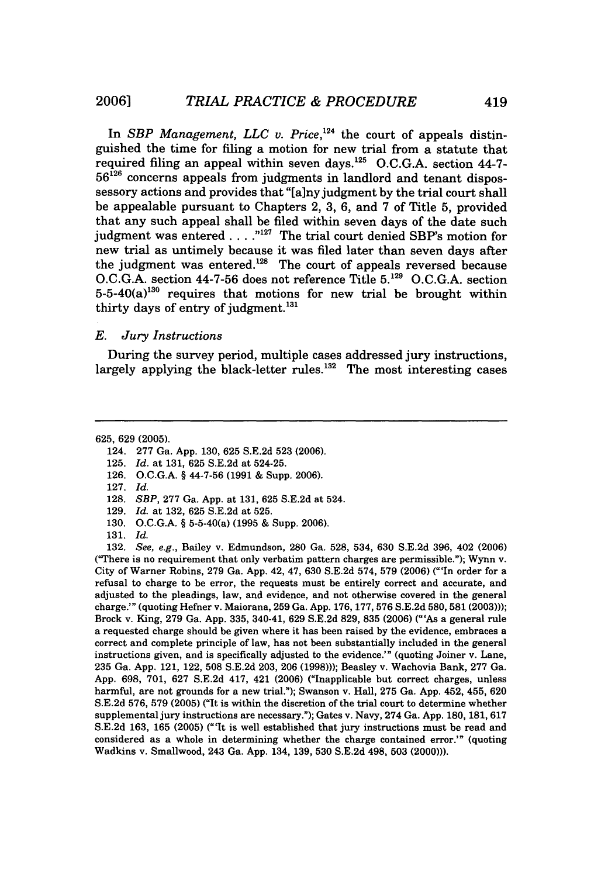In *SBP Management, LLC v. Price,124* the court of appeals distinguished the time for filing a motion for new trial from a statute that required filing an appeal within seven days.<sup>125</sup> O.C.G.A. section 44-7-**56126** concerns appeals from judgments in landlord and tenant dispossessory actions and provides that "[a]nyjudgment by the trial court shall be appealable pursuant to Chapters 2, 3, 6, and 7 of Title 5, provided that any such appeal shall be filed within seven days of the date such judgment was entered  $\ldots$ ."<sup>127</sup> The trial court denied SBP's motion for new trial as untimely because it was filed later than seven days after the judgment was entered.<sup>128</sup> The court of appeals reversed because O.C.G.A. section 44-7-56 does not reference Title **5.129** O.C.G.A. section  $5-5-40(a)^{130}$  requires that motions for new trial be brought within thirty days of entry of judgment.<sup>13</sup>

## *E. Jury Instructions*

During the survey period, multiple cases addressed jury instructions, largely applying the black-letter rules.<sup>132</sup> The most interesting cases

625, 629 (2005).

- 124. 277 Ga. App. 130, 625 S.E.2d 523 (2006).
- 125. *Id.* at 131, 625 S.E.2d at 524-25.
- 126. O.C.G.A. § 44-7-56 (1991 & Supp. 2006).
- 127. *Id.*
- **128.** *SBP,* 277 Ga. App. at 131, 625 S.E.2d at 524.
- **129.** *Id.* at 132, 625 S.E.2d at 525.
- **130. O.C.G.A.** § 5-5-40(a) (1995 & Supp. 2006).
- 131. *Id.*

**132.** *See, e.g.,* Bailey v. Edmundson, 280 Ga. 528, 534, 630 S.E.2d 396, 402 (2006) ("There is no requirement that only verbatim pattern charges are permissible."); Wynn v. City of Warner Robins, 279 Ga. App. 42, 47, 630 S.E.2d 574, 579 (2006) ('In order for a refusal to charge to be error, the requests must be entirely correct and accurate, and adjusted to the pleadings, law, and evidence, and not otherwise covered in the general charge.'" (quoting Hefner v. Maiorana, 259 Ga. App. 176, 177, 576 S.E.2d 580, 581 (2003))); Brock v. King, 279 Ga. App. 335, 340-41, 629 S.E.2d 829, 835 (2006) ("'As a general rule a requested charge should be given where it has been raised by the evidence, embraces a correct and complete principle of law, has not been substantially included in the general instructions given, and is specifically adjusted to the evidence.'" (quoting Joiner v. Lane, 235 Ga. App. 121, 122, 508 S.E.2d 203, 206 (1998))); Beasley v. Wachovia Bank, 277 Ga. App. 698, 701, 627 S.E.2d 417, 421 (2006) ("Inapplicable but correct charges, unless harmful, are not grounds for a new trial."); Swanson v. Hall, 275 Ga. App. 452, 455, 620 S.E.2d 576, 579 (2005) ("It is within the discretion of the trial court to determine whether supplemental jury instructions are necessary."); Gates v. Navy, 274 Ga. App. 180, 181, 617 S.E.2d 163, 165 (2005) ("'It is well established that jury instructions must be read and considered as a whole in determining whether the charge contained error.'" (quoting Wadkins v. Smallwood, 243 Ga. App. 134, 139, 530 S.E.2d 498, 503 (2000))).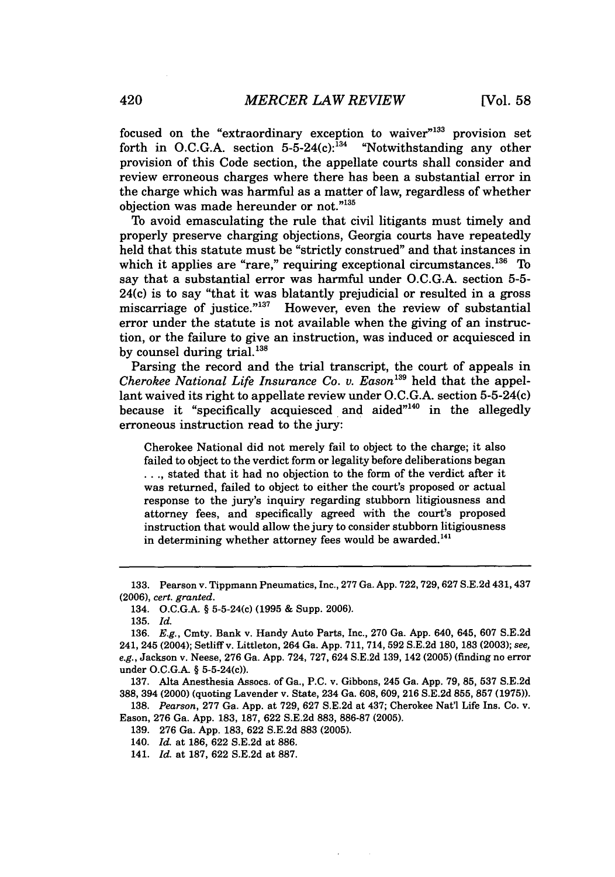focused on the "extraordinary exception to waiver"<sup>133</sup> provision set forth in O.C.G.A. section  $5-5-24(c)$ :  $^{134}$  "Notwithstanding any other provision of this Code section, the appellate courts shall consider and review erroneous charges where there has been a substantial error in the charge which was harmful as a matter of law, regardless of whether objection was made hereunder or not."135

To avoid emasculating the rule that civil litigants must timely and properly preserve charging objections, Georgia courts have repeatedly held that this statute must be "strictly construed" and that instances in which it applies are "rare," requiring exceptional circumstances. $136$  To say that a substantial error was harmful under O.C.G.A. section 5-5- 24(c) is to say "that it was blatantly prejudicial or resulted in a gross miscarriage of justice." $137$  However, even the review of substantial error under the statute is not available when the giving of an instruction, or the failure to give an instruction, was induced or acquiesced in by counsel during trial.<sup>138</sup>

Parsing the record and the trial transcript, the court of appeals in *Cherokee National Life Insurance Co. v. Eason<sup>139</sup> held that the appel*lant waived its right to appellate review under O.C.G.A. section 5-5-24(c) because it "specifically acquiesced and aided $"^{140}$  in the allegedly erroneous instruction read to the jury:

Cherokee National did not merely fail to object to the charge; it also failed to object to the verdict form or legality before deliberations began **...** stated that it had no objection to the form of the verdict after it was returned, failed to object to either the court's proposed or actual response to the jury's inquiry regarding stubborn litigiousness and attorney fees, and specifically agreed with the court's proposed instruction that would allow the jury to consider stubborn litigiousness in determining whether attorney fees would be awarded.<sup>141</sup>

138. *Pearson,* 277 Ga. App. at 729, 627 S.E.2d at 437; Cherokee Nat'l Life Ins. Co. v. Eason, 276 Ga. App. 183, 187, 622 S.E.2d 883, 886-87 (2005).

<sup>133.</sup> Pearson v. Tippmann Pneumatics, Inc., 277 Ga. App. 722,729,627 S.E.2d 431,437 (2006), *cert. granted.*

<sup>134.</sup> O.C.G.A. § 5-5-24(c) (1995 & Supp. 2006).

<sup>135.</sup> *Id.*

<sup>136.</sup> E.g., Cmty. Bank v. Handy Auto Parts, Inc., 270 Ga. App. 640, 645, 607 S.E.2d 241, 245 (2004); Setliffv. Littleton, 264 Ga. App. 711, 714, 592 S.E.2d 180, 183 (2003); *see, e.g.,* Jackson v. Neese, 276 Ga. App. 724, 727, 624 S.E.2d 139, 142 (2005) (finding no error under O.C.G.A. § 5-5-24(c)).

<sup>137.</sup> Alta Anesthesia Assocs. of Ga., P.C. v. Gibbons, 245 Ga. App. 79, 85, 537 S.E.2d 388, 394 (2000) (quoting Lavender v. State, 234 Ga. 608, 609, 216 S.E.2d 855, 857 (1975)).

<sup>139. 276</sup> Ga. App. 183, 622 S.E.2d 883 (2005).

<sup>140.</sup> *Id.* at 186, 622 S.E.2d at 886.

<sup>141.</sup> *Id.* at 187, 622 S.E.2d at 887.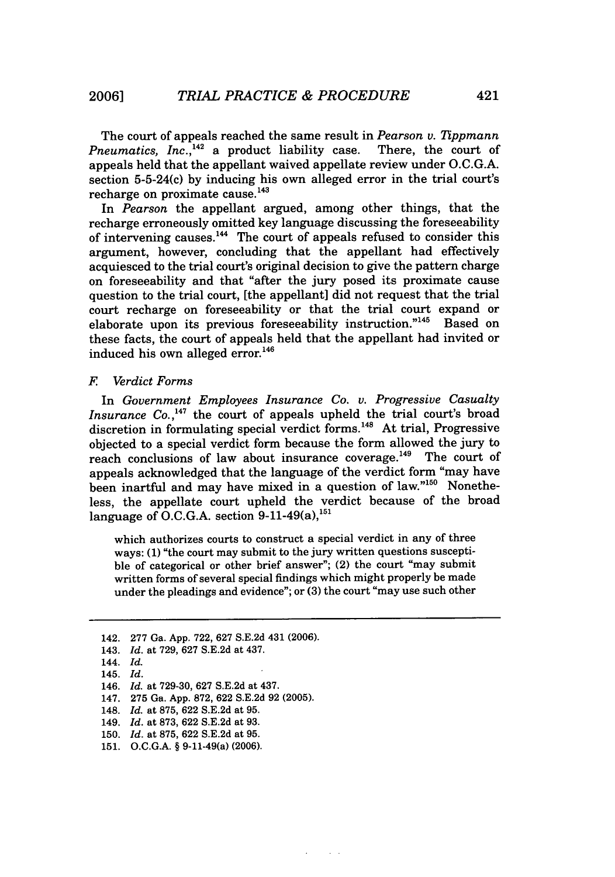The court of appeals reached the same result in *Pearson v. Tippmann* Pneumatics, Inc.,<sup>142</sup> a product liability case. There, the court of appeals held that the appellant waived appellate review under O.C.G.A. section 5-5-24(c) by inducing his own alleged error in the trial court's recharge on proximate cause.<sup>143</sup>

In *Pearson* the appellant argued, among other things, that the recharge erroneously omitted key language discussing the foreseeability of intervening causes. $^{144}$  The court of appeals refused to consider this argument, however, concluding that the appellant had effectively acquiesced to the trial court's original decision to give the pattern charge on foreseeability and that "after the jury posed its proximate cause question to the trial court, [the appellant] did not request that the trial court recharge on foreseeability or that the trial court expand or elaborate upon its previous foreseeability instruction."<sup>145</sup> Based on these facts, the court of appeals held that the appellant had invited or induced his own alleged error.<sup>146</sup>

### *F Verdict Forms*

In *Government Employees Insurance Co. v. Progressive Casualty* Insurance Co.,<sup>147</sup> the court of appeals upheld the trial court's broad discretion in formulating special verdict forms.<sup>148</sup> At trial, Progressive objected to a special verdict form because the form allowed the jury to reach conclusions of law about insurance coverage.<sup>149</sup> The court of appeals acknowledged that the language of the verdict form "may have been inartful and may have mixed in a question of law."<sup>150</sup> Nonetheless, the appellate court upheld the verdict because of the broad language of O.C.G.A. section  $9-11-49(a)$ ,  $^{151}$ 

which authorizes courts to construct a special verdict in any of three ways: (1) "the court may submit to the jury written questions susceptible of categorical or other brief answer"; (2) the court "may submit written forms of several special findings which might properly be made under the pleadings and evidence"; or (3) the court "may use such other

 $\sim$   $\sim$ 

<sup>142. 277</sup> Ga. App. 722, 627 S.E.2d 431 (2006).

<sup>143.</sup> *Id.* at 729, 627 S.E.2d at 437.

<sup>144.</sup> *Id.*

<sup>145.</sup> *Id.*

<sup>146.</sup> *Id.* at 729-30, 627 S.E.2d at 437.

<sup>147. 275</sup> Ga. App. 872, 622 S.E.2d 92 (2005).

<sup>148.</sup> *Id.* at 875, 622 S.E.2d at 95.

<sup>149.</sup> *Id.* at 873, 622 S.E.2d at 93.

<sup>150.</sup> *Id.* at 875, 622 S.E.2d at 95.

<sup>151.</sup> **O.C.G.A.** § **9-11-49(a) (2006).**